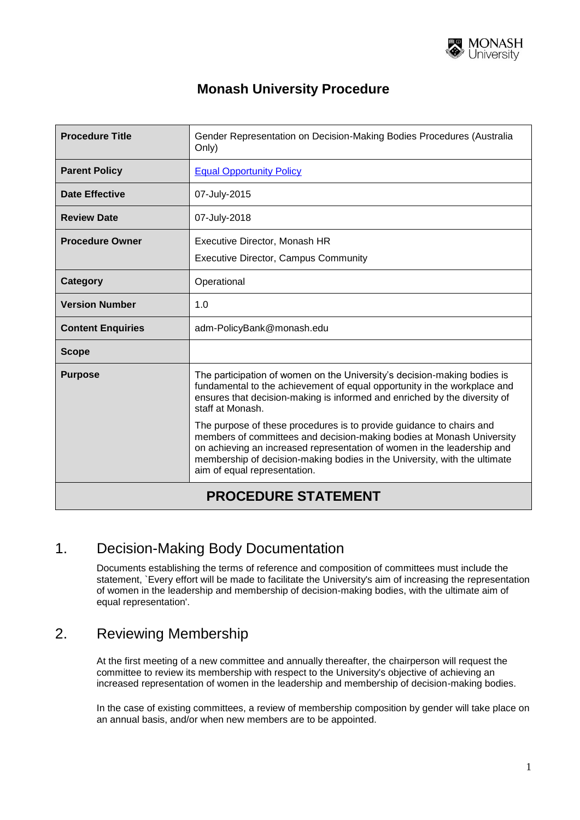

#### **Monash University Procedure**

| <b>Procedure Title</b>     | Gender Representation on Decision-Making Bodies Procedures (Australia<br>Only)                                                                                                                                                                                                                                                        |
|----------------------------|---------------------------------------------------------------------------------------------------------------------------------------------------------------------------------------------------------------------------------------------------------------------------------------------------------------------------------------|
| <b>Parent Policy</b>       | <b>Equal Opportunity Policy</b>                                                                                                                                                                                                                                                                                                       |
| Date Effective             | 07-July-2015                                                                                                                                                                                                                                                                                                                          |
| <b>Review Date</b>         | 07-July-2018                                                                                                                                                                                                                                                                                                                          |
| <b>Procedure Owner</b>     | Executive Director, Monash HR<br><b>Executive Director, Campus Community</b>                                                                                                                                                                                                                                                          |
| <b>Category</b>            | Operational                                                                                                                                                                                                                                                                                                                           |
| <b>Version Number</b>      | 1.0                                                                                                                                                                                                                                                                                                                                   |
| <b>Content Enquiries</b>   | adm-PolicyBank@monash.edu                                                                                                                                                                                                                                                                                                             |
| <b>Scope</b>               |                                                                                                                                                                                                                                                                                                                                       |
| <b>Purpose</b>             | The participation of women on the University's decision-making bodies is<br>fundamental to the achievement of equal opportunity in the workplace and<br>ensures that decision-making is informed and enriched by the diversity of<br>staff at Monash.                                                                                 |
|                            | The purpose of these procedures is to provide guidance to chairs and<br>members of committees and decision-making bodies at Monash University<br>on achieving an increased representation of women in the leadership and<br>membership of decision-making bodies in the University, with the ultimate<br>aim of equal representation. |
| <b>PROCEDURE STATEMENT</b> |                                                                                                                                                                                                                                                                                                                                       |

#### 1. Decision-Making Body Documentation

Documents establishing the terms of reference and composition of committees must include the statement, `Every effort will be made to facilitate the University's aim of increasing the representation of women in the leadership and membership of decision-making bodies, with the ultimate aim of equal representation'.

# 2. Reviewing Membership

At the first meeting of a new committee and annually thereafter, the chairperson will request the committee to review its membership with respect to the University's objective of achieving an increased representation of women in the leadership and membership of decision-making bodies.

In the case of existing committees, a review of membership composition by gender will take place on an annual basis, and/or when new members are to be appointed.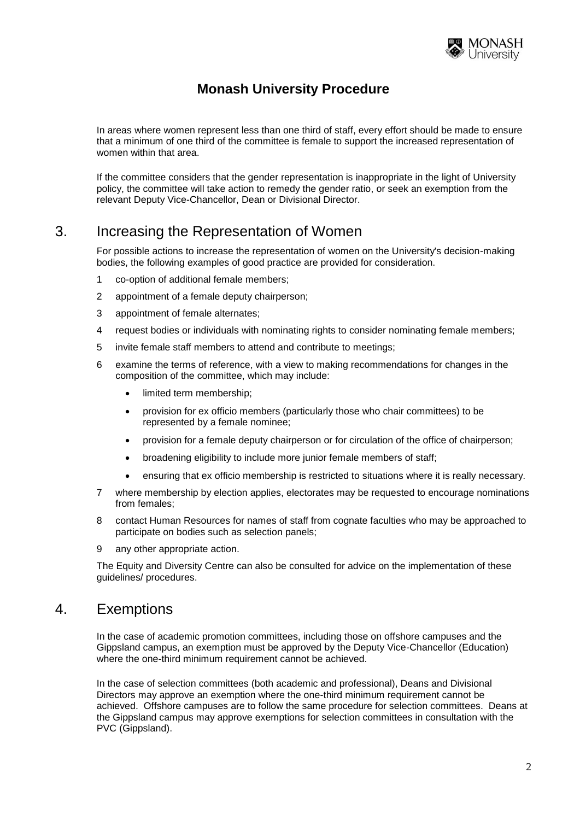

### **Monash University Procedure**

In areas where women represent less than one third of staff, every effort should be made to ensure that a minimum of one third of the committee is female to support the increased representation of women within that area.

If the committee considers that the gender representation is inappropriate in the light of University policy, the committee will take action to remedy the gender ratio, or seek an exemption from the relevant Deputy Vice-Chancellor, Dean or Divisional Director.

#### 3. Increasing the Representation of Women

For possible actions to increase the representation of women on the University's decision-making bodies, the following examples of good practice are provided for consideration.

- 1 co-option of additional female members;
- 2 appointment of a female deputy chairperson;
- 3 appointment of female alternates;
- 4 request bodies or individuals with nominating rights to consider nominating female members;
- 5 invite female staff members to attend and contribute to meetings;
- 6 examine the terms of reference, with a view to making recommendations for changes in the composition of the committee, which may include:
	- limited term membership;
	- provision for ex officio members (particularly those who chair committees) to be represented by a female nominee;
	- provision for a female deputy chairperson or for circulation of the office of chairperson;
	- broadening eligibility to include more junior female members of staff;
	- ensuring that ex officio membership is restricted to situations where it is really necessary.
- 7 where membership by election applies, electorates may be requested to encourage nominations from females;
- 8 contact Human Resources for names of staff from cognate faculties who may be approached to participate on bodies such as selection panels;
- 9 any other appropriate action.

The Equity and Diversity Centre can also be consulted for advice on the implementation of these guidelines/ procedures.

#### 4. Exemptions

In the case of academic promotion committees, including those on offshore campuses and the Gippsland campus, an exemption must be approved by the Deputy Vice-Chancellor (Education) where the one-third minimum requirement cannot be achieved.

In the case of selection committees (both academic and professional), Deans and Divisional Directors may approve an exemption where the one-third minimum requirement cannot be achieved. Offshore campuses are to follow the same procedure for selection committees. Deans at the Gippsland campus may approve exemptions for selection committees in consultation with the PVC (Gippsland).